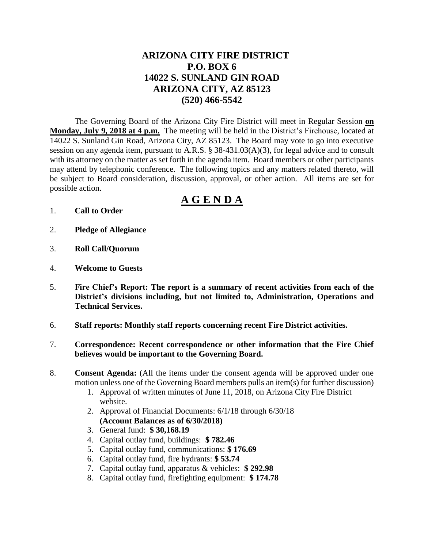## **ARIZONA CITY FIRE DISTRICT P.O. BOX 6 14022 S. SUNLAND GIN ROAD ARIZONA CITY, AZ 85123 (520) 466-5542**

The Governing Board of the Arizona City Fire District will meet in Regular Session **on Monday, July 9, 2018 at 4 p.m.** The meeting will be held in the District's Firehouse, located at 14022 S. Sunland Gin Road, Arizona City, AZ 85123. The Board may vote to go into executive session on any agenda item, pursuant to A.R.S. § 38-431.03(A)(3), for legal advice and to consult with its attorney on the matter as set forth in the agenda item. Board members or other participants may attend by telephonic conference. The following topics and any matters related thereto, will be subject to Board consideration, discussion, approval, or other action. All items are set for possible action.

# **A G E N D A**

- 1. **Call to Order**
- 2. **Pledge of Allegiance**
- 3. **Roll Call/Quorum**
- 4. **Welcome to Guests**
- 5. **Fire Chief's Report: The report is a summary of recent activities from each of the District's divisions including, but not limited to, Administration, Operations and Technical Services.**
- 6. **Staff reports: Monthly staff reports concerning recent Fire District activities.**
- 7. **Correspondence: Recent correspondence or other information that the Fire Chief believes would be important to the Governing Board.**
- 8. **Consent Agenda:** (All the items under the consent agenda will be approved under one motion unless one of the Governing Board members pulls an item(s) for further discussion)
	- 1. Approval of written minutes of June 11, 2018, on Arizona City Fire District website.
	- 2. Approval of Financial Documents: 6/1/18 through 6/30/18 **(Account Balances as of 6/30/2018)**
	- 3. General fund: **\$ 30,168.19**
	- 4. Capital outlay fund, buildings: **\$ 782.46**
	- 5. Capital outlay fund, communications: **\$ 176.69**
	- 6. Capital outlay fund, fire hydrants: **\$ 53.74**
	- 7. Capital outlay fund, apparatus & vehicles: **\$ 292.98**
	- 8. Capital outlay fund, firefighting equipment: **\$ 174.78**